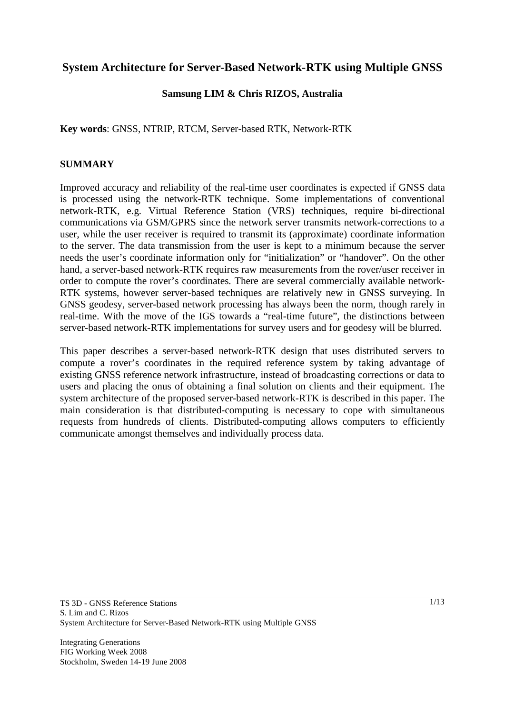# **System Architecture for Server-Based Network-RTK using Multiple GNSS**

# **Samsung LIM & Chris RIZOS, Australia**

**Key words**: GNSS, NTRIP, RTCM, Server-based RTK, Network-RTK

### **SUMMARY**

Improved accuracy and reliability of the real-time user coordinates is expected if GNSS data is processed using the network-RTK technique. Some implementations of conventional network-RTK, e.g. Virtual Reference Station (VRS) techniques, require bi-directional communications via GSM/GPRS since the network server transmits network-corrections to a user, while the user receiver is required to transmit its (approximate) coordinate information to the server. The data transmission from the user is kept to a minimum because the server needs the user's coordinate information only for "initialization" or "handover". On the other hand, a server-based network-RTK requires raw measurements from the rover/user receiver in order to compute the rover's coordinates. There are several commercially available network-RTK systems, however server-based techniques are relatively new in GNSS surveying. In GNSS geodesy, server-based network processing has always been the norm, though rarely in real-time. With the move of the IGS towards a "real-time future", the distinctions between server-based network-RTK implementations for survey users and for geodesy will be blurred.

This paper describes a server-based network-RTK design that uses distributed servers to compute a rover's coordinates in the required reference system by taking advantage of existing GNSS reference network infrastructure, instead of broadcasting corrections or data to users and placing the onus of obtaining a final solution on clients and their equipment. The system architecture of the proposed server-based network-RTK is described in this paper. The main consideration is that distributed-computing is necessary to cope with simultaneous requests from hundreds of clients. Distributed-computing allows computers to efficiently communicate amongst themselves and individually process data.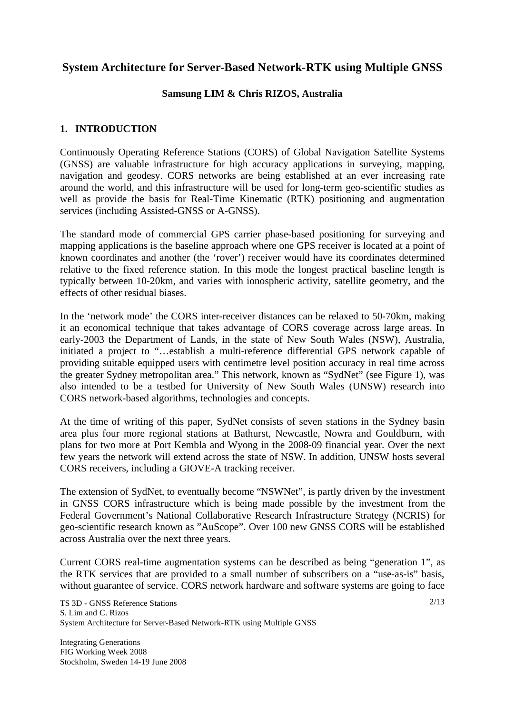# **System Architecture for Server-Based Network-RTK using Multiple GNSS**

### **Samsung LIM & Chris RIZOS, Australia**

# **1. INTRODUCTION**

Continuously Operating Reference Stations (CORS) of Global Navigation Satellite Systems (GNSS) are valuable infrastructure for high accuracy applications in surveying, mapping, navigation and geodesy. CORS networks are being established at an ever increasing rate around the world, and this infrastructure will be used for long-term geo-scientific studies as well as provide the basis for Real-Time Kinematic (RTK) positioning and augmentation services (including Assisted-GNSS or A-GNSS).

The standard mode of commercial GPS carrier phase-based positioning for surveying and mapping applications is the baseline approach where one GPS receiver is located at a point of known coordinates and another (the 'rover') receiver would have its coordinates determined relative to the fixed reference station. In this mode the longest practical baseline length is typically between 10-20km, and varies with ionospheric activity, satellite geometry, and the effects of other residual biases.

In the 'network mode' the CORS inter-receiver distances can be relaxed to 50-70km, making it an economical technique that takes advantage of CORS coverage across large areas. In early-2003 the Department of Lands, in the state of New South Wales (NSW), Australia, initiated a project to "…establish a multi-reference differential GPS network capable of providing suitable equipped users with centimetre level position accuracy in real time across the greater Sydney metropolitan area." This network, known as "SydNet" (see Figure 1), was also intended to be a testbed for University of New South Wales (UNSW) research into CORS network-based algorithms, technologies and concepts.

At the time of writing of this paper, SydNet consists of seven stations in the Sydney basin area plus four more regional stations at Bathurst, Newcastle, Nowra and Gouldburn, with plans for two more at Port Kembla and Wyong in the 2008-09 financial year. Over the next few years the network will extend across the state of NSW. In addition, UNSW hosts several CORS receivers, including a GIOVE-A tracking receiver.

The extension of SydNet, to eventually become "NSWNet", is partly driven by the investment in GNSS CORS infrastructure which is being made possible by the investment from the Federal Government's National Collaborative Research Infrastructure Strategy (NCRIS) for geo-scientific research known as "AuScope". Over 100 new GNSS CORS will be established across Australia over the next three years.

Current CORS real-time augmentation systems can be described as being "generation 1", as the RTK services that are provided to a small number of subscribers on a "use-as-is" basis, without guarantee of service. CORS network hardware and software systems are going to face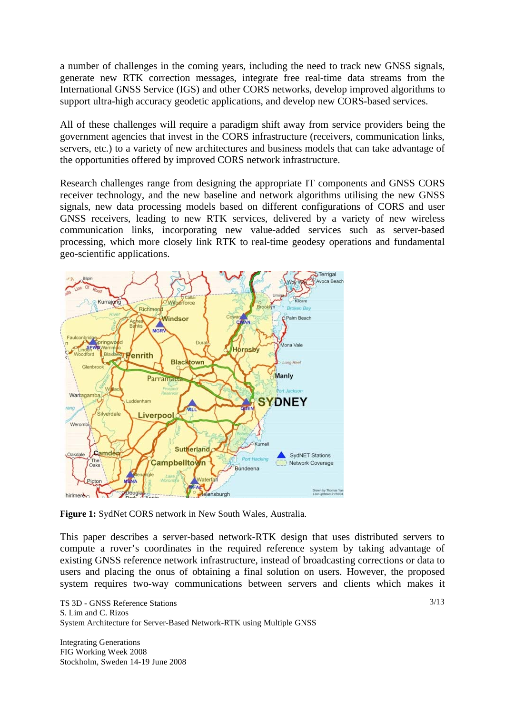a number of challenges in the coming years, including the need to track new GNSS signals, generate new RTK correction messages, integrate free real-time data streams from the International GNSS Service (IGS) and other CORS networks, develop improved algorithms to support ultra-high accuracy geodetic applications, and develop new CORS-based services.

All of these challenges will require a paradigm shift away from service providers being the government agencies that invest in the CORS infrastructure (receivers, communication links, servers, etc.) to a variety of new architectures and business models that can take advantage of the opportunities offered by improved CORS network infrastructure.

Research challenges range from designing the appropriate IT components and GNSS CORS receiver technology, and the new baseline and network algorithms utilising the new GNSS signals, new data processing models based on different configurations of CORS and user GNSS receivers, leading to new RTK services, delivered by a variety of new wireless communication links, incorporating new value-added services such as server-based processing, which more closely link RTK to real-time geodesy operations and fundamental geo-scientific applications.



**Figure 1:** SydNet CORS network in New South Wales, Australia.

This paper describes a server-based network-RTK design that uses distributed servers to compute a rover's coordinates in the required reference system by taking advantage of existing GNSS reference network infrastructure, instead of broadcasting corrections or data to users and placing the onus of obtaining a final solution on users. However, the proposed system requires two-way communications between servers and clients which makes it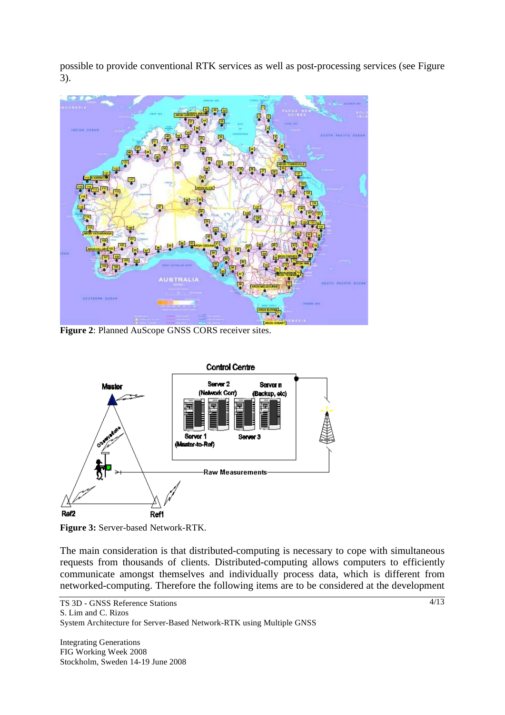possible to provide conventional RTK services as well as post-processing services (see Figure 3).



**Figure 2**: Planned AuScope GNSS CORS receiver sites.



**Figure 3:** Server-based Network-RTK.

The main consideration is that distributed-computing is necessary to cope with simultaneous requests from thousands of clients. Distributed-computing allows computers to efficiently communicate amongst themselves and individually process data, which is different from networked-computing. Therefore the following items are to be considered at the development

Integrating Generations FIG Working Week 2008 Stockholm, Sweden 14-19 June 2008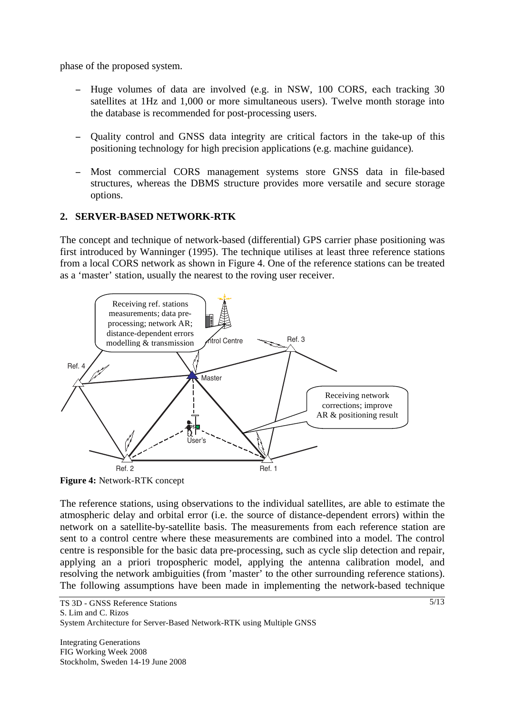phase of the proposed system.

- Huge volumes of data are involved (e.g. in NSW, 100 CORS, each tracking 30 satellites at 1Hz and 1,000 or more simultaneous users). Twelve month storage into the database is recommended for post-processing users.
- Quality control and GNSS data integrity are critical factors in the take-up of this positioning technology for high precision applications (e.g. machine guidance).
- Most commercial CORS management systems store GNSS data in file-based structures, whereas the DBMS structure provides more versatile and secure storage options.

# **2. SERVER-BASED NETWORK-RTK**

The concept and technique of network-based (differential) GPS carrier phase positioning was first introduced by Wanninger (1995). The technique utilises at least three reference stations from a local CORS network as shown in Figure 4. One of the reference stations can be treated as a 'master' station, usually the nearest to the roving user receiver.



**Figure 4:** Network-RTK concept

The reference stations, using observations to the individual satellites, are able to estimate the atmospheric delay and orbital error (i.e. the source of distance-dependent errors) within the network on a satellite-by-satellite basis. The measurements from each reference station are sent to a control centre where these measurements are combined into a model. The control centre is responsible for the basic data pre-processing, such as cycle slip detection and repair, applying an a priori tropospheric model, applying the antenna calibration model, and resolving the network ambiguities (from 'master' to the other surrounding reference stations). The following assumptions have been made in implementing the network-based technique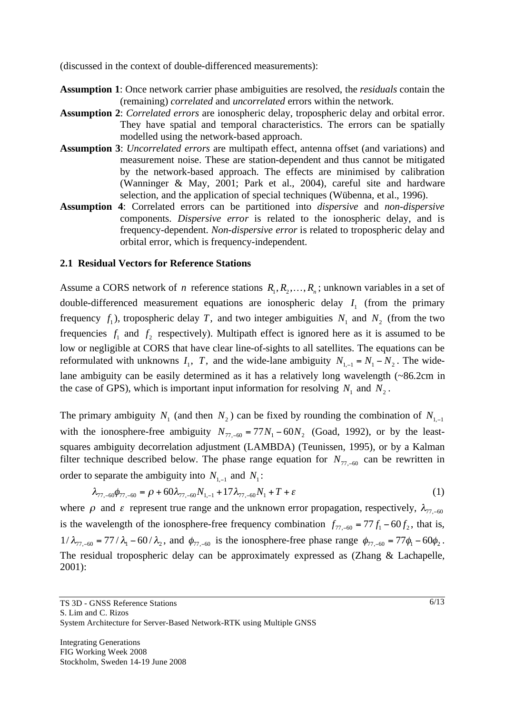(discussed in the context of double-differenced measurements):

- **Assumption 1**: Once network carrier phase ambiguities are resolved, the *residuals* contain the (remaining) *correlated* and *uncorrelated* errors within the network.
- **Assumption 2**: *Correlated errors* are ionospheric delay, tropospheric delay and orbital error. They have spatial and temporal characteristics. The errors can be spatially modelled using the network-based approach.
- **Assumption 3**: *Uncorrelated errors* are multipath effect, antenna offset (and variations) and measurement noise. These are station-dependent and thus cannot be mitigated by the network-based approach. The effects are minimised by calibration (Wanninger & May, 2001; Park et al., 2004), careful site and hardware selection, and the application of special techniques (Wübenna, et al., 1996).
- **Assumption 4**: Correlated errors can be partitioned into *dispersive* and *non-dispersive*  components. *Dispersive error* is related to the ionospheric delay, and is frequency-dependent. *Non-dispersive error* is related to tropospheric delay and orbital error, which is frequency-independent.

#### **2.1 Residual Vectors for Reference Stations**

Assume a CORS network of *n* reference stations  $R_1, R_2, \ldots, R_n$ ; unknown variables in a set of double-differenced measurement equations are ionospheric delay 1*I* (from the primary frequency  $f_1$ ), tropospheric delay *T*, and two integer ambiguities  $N_1$  and  $N_2$  (from the two frequencies  $f_1$  and  $f_2$  respectively). Multipath effect is ignored here as it is assumed to be low or negligible at CORS that have clear line-of-sights to all satellites. The equations can be reformulated with unknowns  $I_1$ ,  $T$ , and the wide-lane ambiguity  $N_{1,-1} = N_1 - N_2$ . The widelane ambiguity can be easily determined as it has a relatively long wavelength (~86.2cm in the case of GPS), which is important input information for resolving  $N_1$  and  $N_2$ .

The primary ambiguity  $N_1$  (and then  $N_2$ ) can be fixed by rounding the combination of  $N_{1,-1}$ with the ionosphere-free ambiguity  $N_{77, -60} = 77 N_1 - 60 N_2$  (Goad, 1992), or by the leastsquares ambiguity decorrelation adjustment (LAMBDA) (Teunissen, 1995), or by a Kalman filter technique described below. The phase range equation for  $N_{77,-60}$  can be rewritten in order to separate the ambiguity into  $N_{1,-1}$  and  $N_1$ :

$$
\lambda_{77,-60}\phi_{77,-60} = \rho + 60\lambda_{77,-60}N_{1,-1} + 17\lambda_{77,-60}N_1 + T + \varepsilon
$$
\n(1)

where  $\rho$  and  $\varepsilon$  represent true range and the unknown error propagation, respectively,  $\lambda_{77,-60}$ is the wavelength of the ionosphere-free frequency combination  $f_{77,-60} = 77 f_1 - 60 f_2$ , that is,  $1/\lambda_{77,-60} = 77/\lambda_1 - 60/\lambda_2$ , and  $\phi_{77,-60}$  is the ionosphere-free phase range  $\phi_{77,-60} = 77\phi_1 - 60\phi_2$ . The residual tropospheric delay can be approximately expressed as (Zhang & Lachapelle, 2001):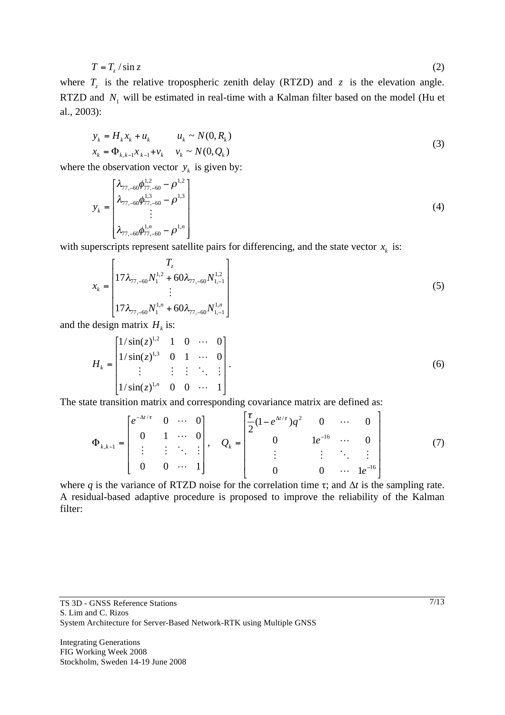$$
T = T_z / \sin z \tag{2}
$$

where  $T_z$  is the relative tropospheric zenith delay (RTZD) and  $z$  is the elevation angle. RTZD and  $N_1$  will be estimated in real-time with a Kalman filter based on the model (Hu et al., 2003):

$$
y_k = H_k x_k + u_k \t u_k \sim N(0, R_k)
$$
  

$$
x_k = \Phi_{k, k-1} x_{k-1} + v_k \t v_k \sim N(0, Q_k)
$$
 (3)

where the observation vector  $y_k$  is given by:

$$
y_{k} = \begin{bmatrix} \lambda_{77,-60} \phi_{77,-60}^{1,2} - \rho^{1,2} \\ \lambda_{77,-60} \phi_{77,-60}^{1,3} - \rho^{1,3} \\ \vdots \\ \lambda_{77,-60} \phi_{77,-60}^{1,n} - \rho^{1,n} \end{bmatrix}
$$
 (4)

with superscripts represent satellite pairs for differencing, and the state vector  $x_k$  is:

$$
x_{k} = \begin{bmatrix} T_{z} \\ 17\lambda_{77,-60} N_{1}^{1.2} + 60\lambda_{77,-60} N_{1,-1}^{1.2} \\ \vdots \\ 17\lambda_{77,-60} N_{1}^{1,n} + 60\lambda_{77,-60} N_{1,-1}^{1,n} \end{bmatrix}
$$
(5)

and the design matrix  $H_k$  is:

$$
H_{k} = \begin{bmatrix} 1/\sin(z)^{1,2} & 1 & 0 & \cdots & 0 \\ 1/\sin(z)^{1,3} & 0 & 1 & \cdots & 0 \\ \vdots & \vdots & \vdots & \ddots & \vdots \\ 1/\sin(z)^{1,n} & 0 & 0 & \cdots & 1 \end{bmatrix} .
$$
 (6)

The state transition matrix and corresponding covariance matrix are defined as:

$$
\Phi_{k,k-1} = \begin{bmatrix} e^{-\Delta t/\tau} & 0 & \cdots & 0 \\ 0 & 1 & \cdots & 0 \\ \vdots & \vdots & \ddots & \vdots \\ 0 & 0 & \cdots & 1 \end{bmatrix}, \quad Q_k = \begin{bmatrix} \frac{\tau}{2} (1 - e^{\Delta t/\tau}) q^2 & 0 & \cdots & 0 \\ 0 & 1 e^{-16} & \cdots & 0 \\ \vdots & \vdots & \ddots & \vdots \\ 0 & 0 & \cdots & 1 e^{-16} \end{bmatrix}
$$
(7)

where q is the variance of RTZD noise for the correlation time  $\tau$ ; and  $\Delta t$  is the sampling rate. A residual-based adaptive procedure is proposed to improve the reliability of the Kalman filter: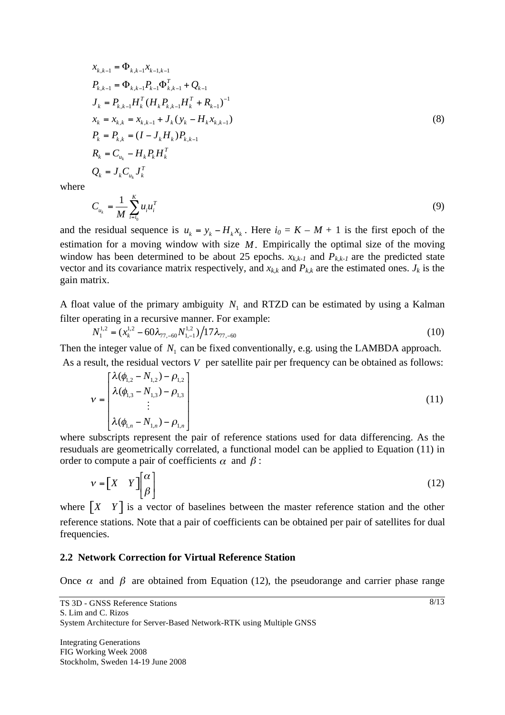$$
x_{k,k-1} = \Phi_{k,k-1} x_{k-1,k-1}
$$
  
\n
$$
P_{k,k-1} = \Phi_{k,k-1} P_{k-1} \Phi_{k,k-1}^T + Q_{k-1}
$$
  
\n
$$
J_k = P_{k,k-1} H_k^T (H_k P_{k,k-1} H_k^T + R_{k-1})^{-1}
$$
  
\n
$$
x_k = x_{k,k} = x_{k,k-1} + J_k (y_k - H_k x_{k,k-1})
$$
  
\n
$$
P_k = P_{k,k} = (I - J_k H_k) P_{k,k-1}
$$
  
\n
$$
R_k = C_{u_k} - H_k P_k H_k^T
$$
  
\n
$$
Q_k = J_k C_{u_k} J_k^T
$$
 (8)

where

$$
C_{u_k} = \frac{1}{M} \sum_{i=i_0}^{K} u_i u_i^T
$$
 (9)

and the residual sequence is  $u_k = y_k - H_k x_k$ . Here  $i_0 = K - M + 1$  is the first epoch of the estimation for a moving window with size *M*. Empirically the optimal size of the moving window has been determined to be about 25 epochs.  $x_{k,k-1}$  and  $P_{k,k-1}$  are the predicted state vector and its covariance matrix respectively, and  $x_{kk}$  and  $P_{kk}$  are the estimated ones.  $J_k$  is the gain matrix.

A float value of the primary ambiguity  $N_1$  and RTZD can be estimated by using a Kalman filter operating in a recursive manner. For example:

$$
N_1^{1,2} = (x_k^{1,2} - 60\lambda_{77,-60} N_{1,-1}^{1,2}) / 17\lambda_{77,-60}
$$
\n(10)

Then the integer value of  $N_1$  can be fixed conventionally, e.g. using the LAMBDA approach.

As a result, the residual vectors *V* per satellite pair per frequency can be obtained as follows:

$$
\nu = \begin{bmatrix} \lambda(\phi_{1,2} - N_{1,2}) - \rho_{1,2} \\ \lambda(\phi_{1,3} - N_{1,3}) - \rho_{1,3} \\ \vdots \\ \lambda(\phi_{1,n} - N_{1,n}) - \rho_{1,n} \end{bmatrix}
$$
(11)

where subscripts represent the pair of reference stations used for data differencing. As the resuduals are geometrically correlated, a functional model can be applied to Equation (11) in order to compute a pair of coefficients  $\alpha$  and  $\beta$ :

$$
v = \begin{bmatrix} X & Y \end{bmatrix} \begin{bmatrix} \alpha \\ \beta \end{bmatrix}
$$
 (12)

where  $\begin{bmatrix} X & Y \end{bmatrix}$  is a vector of baselines between the master reference station and the other reference stations. Note that a pair of coefficients can be obtained per pair of satellites for dual frequencies.

#### **2.2 Network Correction for Virtual Reference Station**

Once  $\alpha$  and  $\beta$  are obtained from Equation (12), the pseudorange and carrier phase range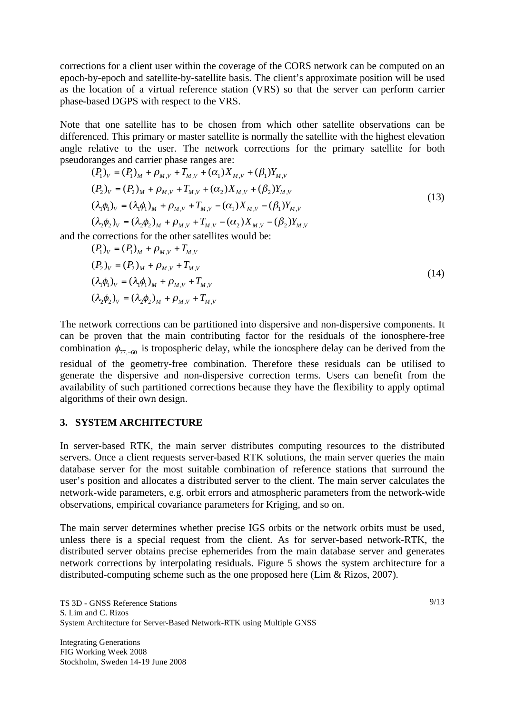corrections for a client user within the coverage of the CORS network can be computed on an epoch-by-epoch and satellite-by-satellite basis. The client's approximate position will be used as the location of a virtual reference station (VRS) so that the server can perform carrier phase-based DGPS with respect to the VRS.

Note that one satellite has to be chosen from which other satellite observations can be differenced. This primary or master satellite is normally the satellite with the highest elevation angle relative to the user. The network corrections for the primary satellite for both pseudoranges and carrier phase ranges are:

$$
(P_1)_V = (P_1)_M + \rho_{M,V} + T_{M,V} + (\alpha_1)X_{M,V} + (\beta_1)Y_{M,V}
$$
  
\n
$$
(P_2)_V = (P_2)_M + \rho_{M,V} + T_{M,V} + (\alpha_2)X_{M,V} + (\beta_2)Y_{M,V}
$$
  
\n
$$
(\lambda_1 \phi_1)_V = (\lambda_1 \phi_1)_M + \rho_{M,V} + T_{M,V} - (\alpha_1)X_{M,V} - (\beta_1)Y_{M,V}
$$
  
\n
$$
(\lambda_2 \phi_2)_V = (\lambda_2 \phi_2)_M + \rho_{M,V} + T_{M,V} - (\alpha_2)X_{M,V} - (\beta_2)Y_{M,V}
$$
\n(13)

and the corrections for the other satellites would be:

$$
(P_1)_V = (P_1)_M + \rho_{M,V} + T_{M,V}
$$
  
\n
$$
(P_2)_V = (P_2)_M + \rho_{M,V} + T_{M,V}
$$
  
\n
$$
(\lambda_1 \phi_1)_V = (\lambda_1 \phi_1)_M + \rho_{M,V} + T_{M,V}
$$
  
\n
$$
(\lambda_2 \phi_2)_V = (\lambda_2 \phi_2)_M + \rho_{M,V} + T_{M,V}
$$
\n(14)

The network corrections can be partitioned into dispersive and non-dispersive components. It can be proven that the main contributing factor for the residuals of the ionosphere-free combination  $\phi_{77,-60}$  is tropospheric delay, while the ionosphere delay can be derived from the residual of the geometry-free combination. Therefore these residuals can be utilised to generate the dispersive and non-dispersive correction terms. Users can benefit from the availability of such partitioned corrections because they have the flexibility to apply optimal algorithms of their own design.

# **3. SYSTEM ARCHITECTURE**

In server-based RTK, the main server distributes computing resources to the distributed servers. Once a client requests server-based RTK solutions, the main server queries the main database server for the most suitable combination of reference stations that surround the user's position and allocates a distributed server to the client. The main server calculates the network-wide parameters, e.g. orbit errors and atmospheric parameters from the network-wide observations, empirical covariance parameters for Kriging, and so on.

The main server determines whether precise IGS orbits or the network orbits must be used, unless there is a special request from the client. As for server-based network-RTK, the distributed server obtains precise ephemerides from the main database server and generates network corrections by interpolating residuals. Figure 5 shows the system architecture for a distributed-computing scheme such as the one proposed here (Lim & Rizos, 2007).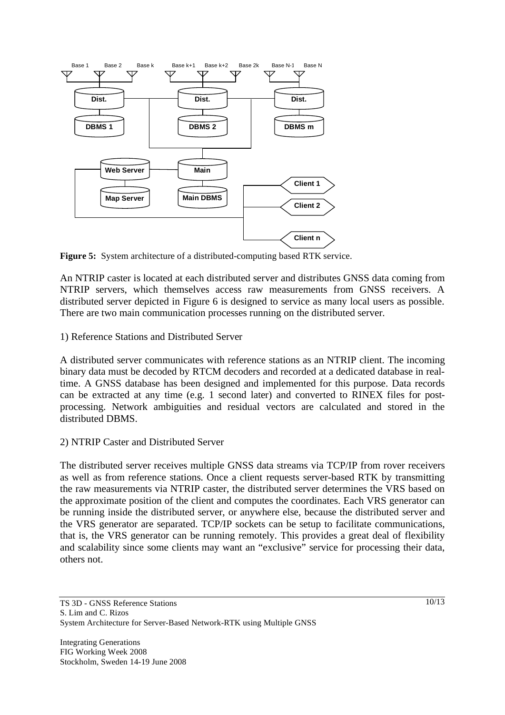

**Figure 5:** System architecture of a distributed-computing based RTK service.

An NTRIP caster is located at each distributed server and distributes GNSS data coming from NTRIP servers, which themselves access raw measurements from GNSS receivers. A distributed server depicted in Figure 6 is designed to service as many local users as possible. There are two main communication processes running on the distributed server.

1) Reference Stations and Distributed Server

A distributed server communicates with reference stations as an NTRIP client. The incoming binary data must be decoded by RTCM decoders and recorded at a dedicated database in realtime. A GNSS database has been designed and implemented for this purpose. Data records can be extracted at any time (e.g. 1 second later) and converted to RINEX files for postprocessing. Network ambiguities and residual vectors are calculated and stored in the distributed DBMS.

# 2) NTRIP Caster and Distributed Server

The distributed server receives multiple GNSS data streams via TCP/IP from rover receivers as well as from reference stations. Once a client requests server-based RTK by transmitting the raw measurements via NTRIP caster, the distributed server determines the VRS based on the approximate position of the client and computes the coordinates. Each VRS generator can be running inside the distributed server, or anywhere else, because the distributed server and the VRS generator are separated. TCP/IP sockets can be setup to facilitate communications, that is, the VRS generator can be running remotely. This provides a great deal of flexibility and scalability since some clients may want an "exclusive" service for processing their data, others not.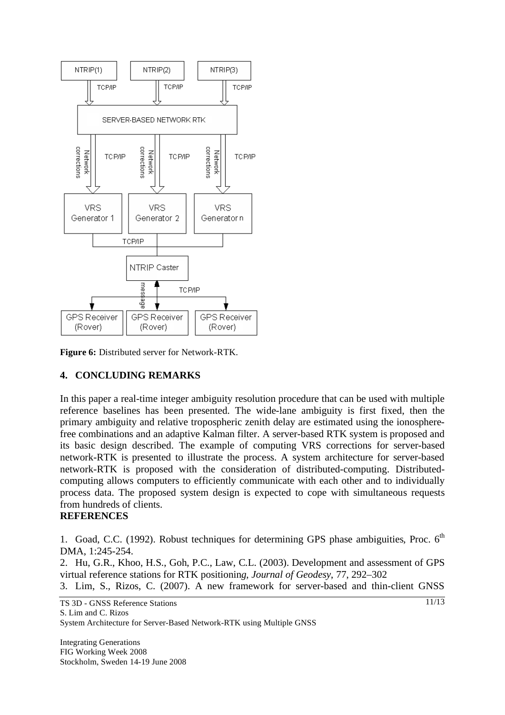

**Figure 6:** Distributed server for Network-RTK.

# **4. CONCLUDING REMARKS**

In this paper a real-time integer ambiguity resolution procedure that can be used with multiple reference baselines has been presented. The wide-lane ambiguity is first fixed, then the primary ambiguity and relative tropospheric zenith delay are estimated using the ionospherefree combinations and an adaptive Kalman filter. A server-based RTK system is proposed and its basic design described. The example of computing VRS corrections for server-based network-RTK is presented to illustrate the process. A system architecture for server-based network-RTK is proposed with the consideration of distributed-computing. Distributedcomputing allows computers to efficiently communicate with each other and to individually process data. The proposed system design is expected to cope with simultaneous requests from hundreds of clients.

#### **REFERENCES**

1. Goad, C.C. (1992). Robust techniques for determining GPS phase ambiguities, Proc. 6<sup>th</sup> DMA, 1:245-254.

2. Hu, G.R., Khoo, H.S., Goh, P.C., Law, C.L. (2003). Development and assessment of GPS virtual reference stations for RTK positionin*g*, *Journal of Geodesy*, 77, 292–302

3. Lim, S., Rizos, C. (2007). A new framework for server-based and thin-client GNSS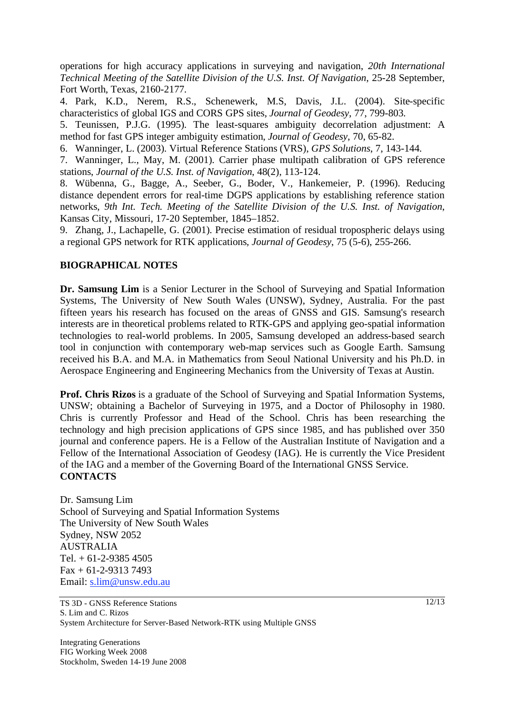operations for high accuracy applications in surveying and navigation, *20th International Technical Meeting of the Satellite Division of the U.S. Inst. Of Navigation*, 25-28 September, Fort Worth, Texas, 2160-2177.

4. Park, K.D., Nerem, R.S., Schenewerk, M.S, Davis, J.L. (2004). Site-specific characteristics of global IGS and CORS GPS sites, *Journal of Geodesy*, 77, 799-803.

5. Teunissen, P.J.G. (1995). The least-squares ambiguity decorrelation adjustment: A method for fast GPS integer ambiguity estimation, *Journal of Geodesy*, 70, 65-82.

6. Wanninger, L. (2003). Virtual Reference Stations (VRS), *GPS Solutions*, 7, 143-144.

7. Wanninger, L., May, M. (2001). Carrier phase multipath calibration of GPS reference stations, *Journal of the U.S. Inst. of Navigation*, 48(2), 113-124.

8. Wübenna, G., Bagge, A., Seeber, G., Boder, V., Hankemeier, P. (1996). Reducing distance dependent errors for real-time DGPS applications by establishing reference station networks, *9th Int. Tech. Meeting of the Satellite Division of the U.S. Inst. of Navigation*, Kansas City, Missouri, 17-20 September, 1845–1852.

9. Zhang, J., Lachapelle, G. (2001). Precise estimation of residual tropospheric delays using a regional GPS network for RTK applications*, Journal of Geodesy*, 75 (5-6), 255-266.

# **BIOGRAPHICAL NOTES**

**Dr. Samsung Lim** is a Senior Lecturer in the School of Surveying and Spatial Information Systems, The University of New South Wales (UNSW), Sydney, Australia. For the past fifteen years his research has focused on the areas of GNSS and GIS. Samsung's research interests are in theoretical problems related to RTK-GPS and applying geo-spatial information technologies to real-world problems. In 2005, Samsung developed an address-based search tool in conjunction with contemporary web-map services such as Google Earth. Samsung received his B.A. and M.A. in Mathematics from Seoul National University and his Ph.D. in Aerospace Engineering and Engineering Mechanics from the University of Texas at Austin.

**Prof. Chris Rizos** is a graduate of the School of Surveying and Spatial Information Systems, UNSW; obtaining a Bachelor of Surveying in 1975, and a Doctor of Philosophy in 1980. Chris is currently Professor and Head of the School. Chris has been researching the technology and high precision applications of GPS since 1985, and has published over 350 journal and conference papers. He is a Fellow of the Australian Institute of Navigation and a Fellow of the International Association of Geodesy (IAG). He is currently the Vice President of the IAG and a member of the Governing Board of the International GNSS Service. **CONTACTS**

Dr. Samsung Lim School of Surveying and Spatial Information Systems The University of New South Wales Sydney, NSW 2052 AUSTRALIA Tel. + 61-2-9385 4505 Fax + 61-2-9313 7493 Email: s.lim@unsw.edu.au

TS 3D - GNSS Reference Stations S. Lim and C. Rizos System Architecture for Server-Based Network-RTK using Multiple GNSS

Integrating Generations FIG Working Week 2008 Stockholm, Sweden 14-19 June 2008 12/13